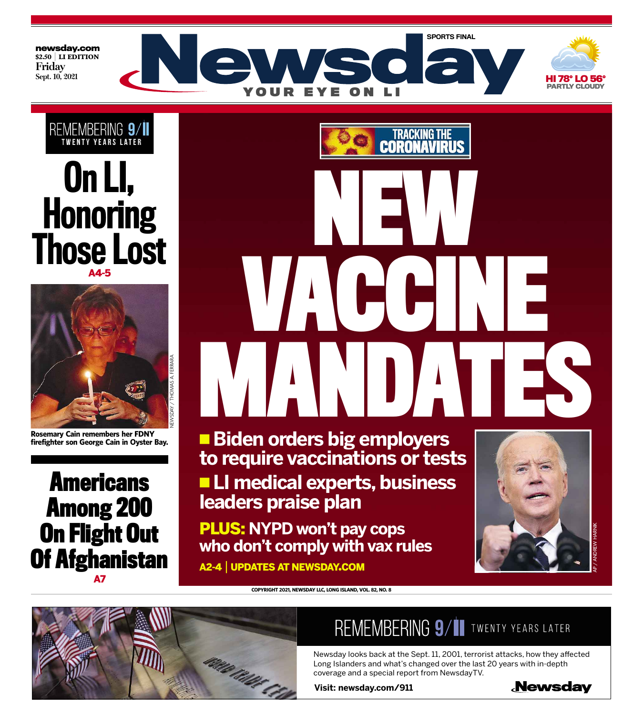





**Rosemary Cain remembers her FDNY firefighter son George Cain in Oyster Bay.**

**Americans Among 200 On Flight Out Of Afghanistan**

A7

Tracking the CO RONAVIRI **NEW VACCINE MANDATES**

\ **Biden orders big employers to require vaccinations or tests** \ **LI medical experts, business leaders praise plan**

PLUS: **NYPD won't pay cops who don't comply with vax rules**



A2-4 | UPDATES AT NEWSDAY.COM



#### **COPYRIGHT 2021, NEWSDAY LLC, LONG ISLAND, VOL. 82, NO. 8**

### REMEMBERING 9/11 TWENTY YEARS LATER

Newsday looks back at the Sept. 11, 2001, terrorist attacks, how they affected Long Islanders and what's changed over the last 20 years with in-depth coverage and a special report from NewsdayTV.

**Visit: newsday.com/911**

**Newsday**